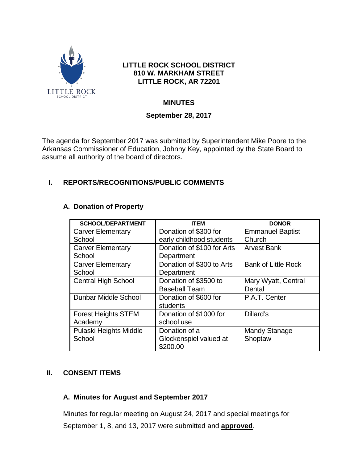

## **LITTLE ROCK SCHOOL DISTRICT 810 W. MARKHAM STREET LITTLE ROCK, AR 72201**

## **MINUTES**

## **September 28, 2017**

The agenda for September 2017 was submitted by Superintendent Mike Poore to the Arkansas Commissioner of Education, Johnny Key, appointed by the State Board to assume all authority of the board of directors.

# **I. REPORTS/RECOGNITIONS/PUBLIC COMMENTS**

#### **A. Donation of Property**

| <b>SCHOOL/DEPARTMENT</b>   | <b>ITEM</b>                | <b>DONOR</b>               |
|----------------------------|----------------------------|----------------------------|
| <b>Carver Elementary</b>   | Donation of \$300 for      | <b>Emmanuel Baptist</b>    |
| School                     | early childhood students   | Church                     |
| <b>Carver Elementary</b>   | Donation of \$100 for Arts | <b>Arvest Bank</b>         |
| School                     | Department                 |                            |
| <b>Carver Elementary</b>   | Donation of \$300 to Arts  | <b>Bank of Little Rock</b> |
| School                     | Department                 |                            |
| <b>Central High School</b> | Donation of \$3500 to      | Mary Wyatt, Central        |
|                            | <b>Baseball Team</b>       | Dental                     |
| Dunbar Middle School       | Donation of \$600 for      | P.A.T. Center              |
|                            | students                   |                            |
| <b>Forest Heights STEM</b> | Donation of \$1000 for     | Dillard's                  |
| Academy                    | school use                 |                            |
| Pulaski Heights Middle     | Donation of a              | <b>Mandy Stanage</b>       |
| School                     | Glockenspiel valued at     | Shoptaw                    |
|                            | \$200.00                   |                            |

## **II. CONSENT ITEMS**

## **A. Minutes for August and September 2017**

Minutes for regular meeting on August 24, 2017 and special meetings for September 1, 8, and 13, 2017 were submitted and **approved**.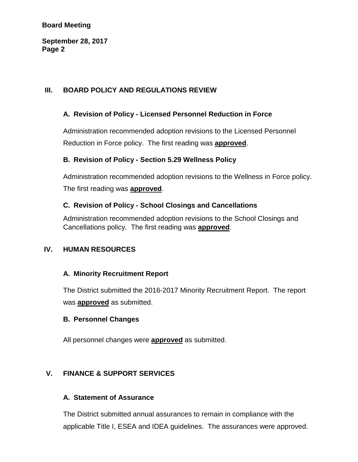#### **Board Meeting**

**September 28, 2017 Page 2**

## **III. BOARD POLICY AND REGULATIONS REVIEW**

## **A. Revision of Policy - Licensed Personnel Reduction in Force**

Administration recommended adoption revisions to the Licensed Personnel Reduction in Force policy. The first reading was **approved**.

#### **B. Revision of Policy - Section 5.29 Wellness Policy**

Administration recommended adoption revisions to the Wellness in Force policy. The first reading was **approved**.

## **C. Revision of Policy - School Closings and Cancellations**

Administration recommended adoption revisions to the School Closings and Cancellations policy. The first reading was **approved**.

## **IV. HUMAN RESOURCES**

## **A. Minority Recruitment Report**

The District submitted the 2016-2017 Minority Recruitment Report. The report was **approved** as submitted.

#### **B. Personnel Changes**

All personnel changes were **approved** as submitted.

## **V. FINANCE & SUPPORT SERVICES**

#### **A. Statement of Assurance**

The District submitted annual assurances to remain in compliance with the applicable Title I, ESEA and IDEA guidelines. The assurances were approved.